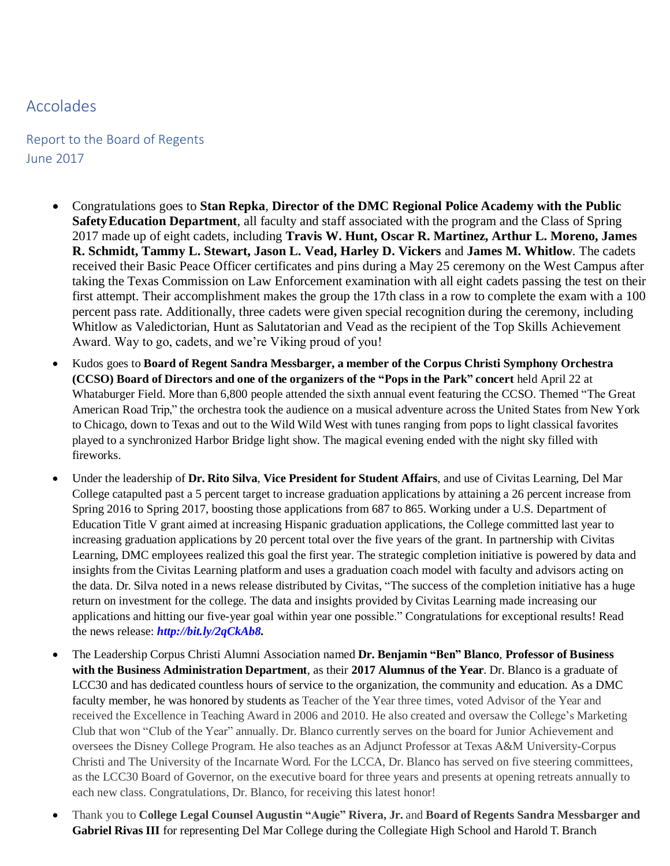## Accolades

Report to the Board of Regents June 2017

- Congratulations goes to **Stan Repka**, **Director of the DMC Regional Police Academy with the Public SafetyEducation Department**, all faculty and staff associated with the program and the Class of Spring 2017 made up of eight cadets, including **Travis W. Hunt, Oscar R. Martinez, Arthur L. Moreno, James R. Schmidt, Tammy L. Stewart, Jason L. Vead, Harley D. Vickers** and **James M. Whitlow**. The cadets received their Basic Peace Officer certificates and pins during a May 25 ceremony on the West Campus after taking the Texas Commission on Law Enforcement examination with all eight cadets passing the test on their first attempt. Their accomplishment makes the group the 17th class in a row to complete the exam with a 100 percent pass rate. Additionally, three cadets were given special recognition during the ceremony, including Whitlow as Valedictorian, Hunt as Salutatorian and Vead as the recipient of the Top Skills Achievement Award. Way to go, cadets, and we're Viking proud of you!
- Kudos goes to **Board of Regent Sandra Messbarger, a member of the Corpus Christi Symphony Orchestra (CCSO) Board of Directors and one of the organizers of the "Pops in the Park" concert** held April 22 at Whataburger Field. More than 6,800 people attended the sixth annual event featuring the CCSO. Themed "The Great American Road Trip," the orchestra took the audience on a musical adventure across the United States from New York to Chicago, down to Texas and out to the Wild Wild West with tunes ranging from pops to light classical favorites played to a synchronized Harbor Bridge light show. The magical evening ended with the night sky filled with fireworks.
- Under the leadership of **Dr. Rito Silva**, **Vice President for Student Affairs**, and use of Civitas Learning, Del Mar College catapulted past a 5 percent target to increase graduation applications by attaining a 26 percent increase from Spring 2016 to Spring 2017, boosting those applications from 687 to 865. Working under a U.S. Department of Education Title V grant aimed at increasing Hispanic graduation applications, the College committed last year to increasing graduation applications by 20 percent total over the five years of the grant. In partnership with Civitas Learning, DMC employees realized this goal the first year. The strategic completion initiative is powered by data and insights from the Civitas Learning platform and uses a graduation coach model with faculty and advisors acting on the data. Dr. Silva noted in a news release distributed by Civitas, "The success of the completion initiative has a huge return on investment for the college. The data and insights provided by Civitas Learning made increasing our applications and hitting our five-year goal within year one possible." Congratulations for exceptional results! Read the news release: *[http://bit.ly/2qCkAb8.](http://bit.ly/2qCkAb8)*
- The Leadership Corpus Christi Alumni Association named **Dr. Benjamin "Ben" Blanco**, **Professor of Business with the Business Administration Department**, as their **2017 Alumnus of the Year**. Dr. Blanco is a graduate of LCC30 and has dedicated countless hours of service to the organization, the community and education. As a DMC faculty member, he was honored by students as Teacher of the Year three times, voted Advisor of the Year and received the Excellence in Teaching Award in 2006 and 2010. He also created and oversaw the College's Marketing Club that won "Club of the Year" annually. Dr. Blanco currently serves on the board for Junior Achievement and oversees the Disney College Program. He also teaches as an Adjunct Professor at Texas A&M University-Corpus Christi and The University of the Incarnate Word. For the LCCA, Dr. Blanco has served on five steering committees, as the LCC30 Board of Governor, on the executive board for three years and presents at opening retreats annually to each new class. Congratulations, Dr. Blanco, for receiving this latest honor!
- Thank you to **College Legal Counsel Augustin "Augie" Rivera, Jr.** and **Board of Regents Sandra Messbarger and Gabriel Rivas III** for representing Del Mar College during the Collegiate High School and Harold T. Branch